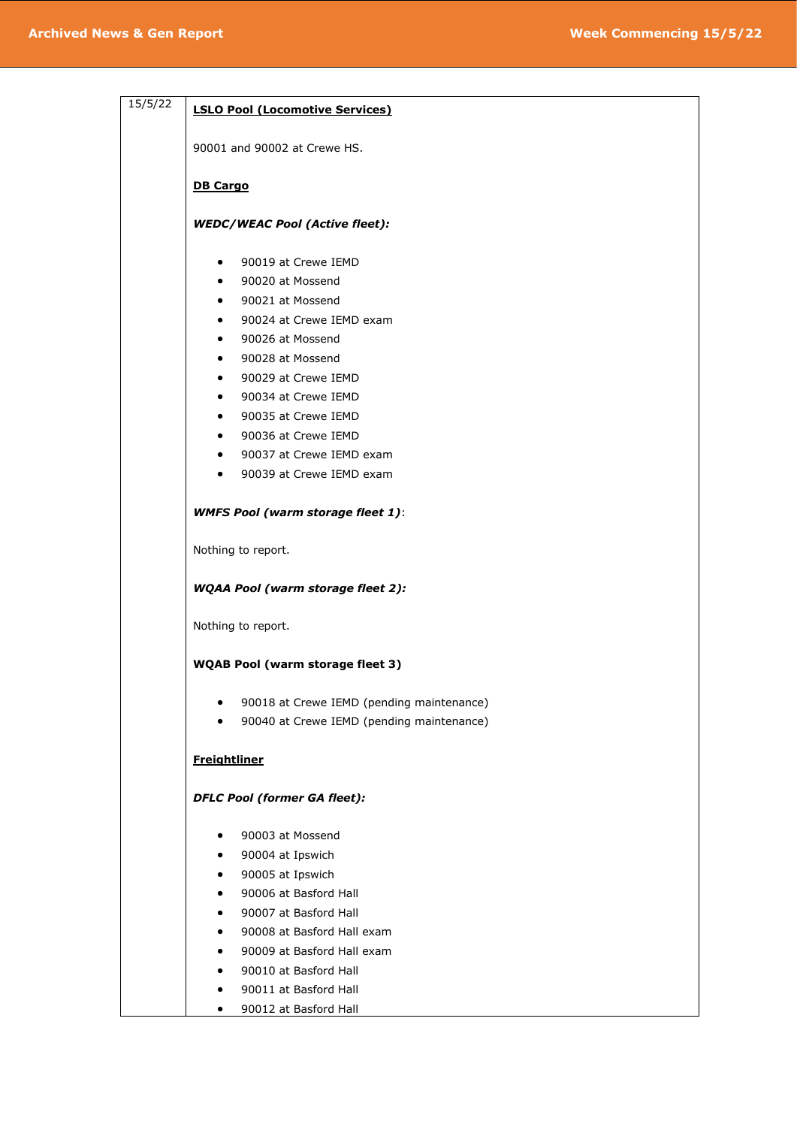| 15/5/22 | <b>LSLO Pool (Locomotive Services)</b>    |  |  |
|---------|-------------------------------------------|--|--|
|         | 90001 and 90002 at Crewe HS.              |  |  |
|         | <b>DB Cargo</b>                           |  |  |
|         | <b>WEDC/WEAC Pool (Active fleet):</b>     |  |  |
|         | 90019 at Crewe IEMD<br>٠                  |  |  |
|         | 90020 at Mossend<br>$\bullet$             |  |  |
|         | 90021 at Mossend<br>$\bullet$             |  |  |
|         | 90024 at Crewe IEMD exam                  |  |  |
|         | 90026 at Mossend                          |  |  |
|         | 90028 at Mossend                          |  |  |
|         | 90029 at Crewe IEMD                       |  |  |
|         | 90034 at Crewe IEMD<br>$\bullet$          |  |  |
|         | 90035 at Crewe IEMD                       |  |  |
|         | 90036 at Crewe IEMD                       |  |  |
|         | 90037 at Crewe IEMD exam<br>٠             |  |  |
|         | 90039 at Crewe IEMD exam<br>$\bullet$     |  |  |
|         |                                           |  |  |
|         | <b>WMFS Pool (warm storage fleet 1):</b>  |  |  |
|         | Nothing to report.                        |  |  |
|         | <b>WQAA Pool (warm storage fleet 2):</b>  |  |  |
|         | Nothing to report.                        |  |  |
|         | WQAB Pool (warm storage fleet 3)          |  |  |
|         | 90018 at Crewe IEMD (pending maintenance) |  |  |
|         | 90040 at Crewe IEMD (pending maintenance) |  |  |
|         | <b>Freightliner</b>                       |  |  |
|         | <b>DFLC Pool (former GA fleet):</b>       |  |  |
|         | 90003 at Mossend                          |  |  |
|         | 90004 at Ipswich                          |  |  |
|         | 90005 at Ipswich                          |  |  |
|         | 90006 at Basford Hall                     |  |  |
|         | 90007 at Basford Hall                     |  |  |
|         | 90008 at Basford Hall exam                |  |  |
|         | 90009 at Basford Hall exam<br>$\bullet$   |  |  |
|         | 90010 at Basford Hall                     |  |  |
|         | 90011 at Basford Hall                     |  |  |
|         | 90012 at Basford Hall<br>$\bullet$        |  |  |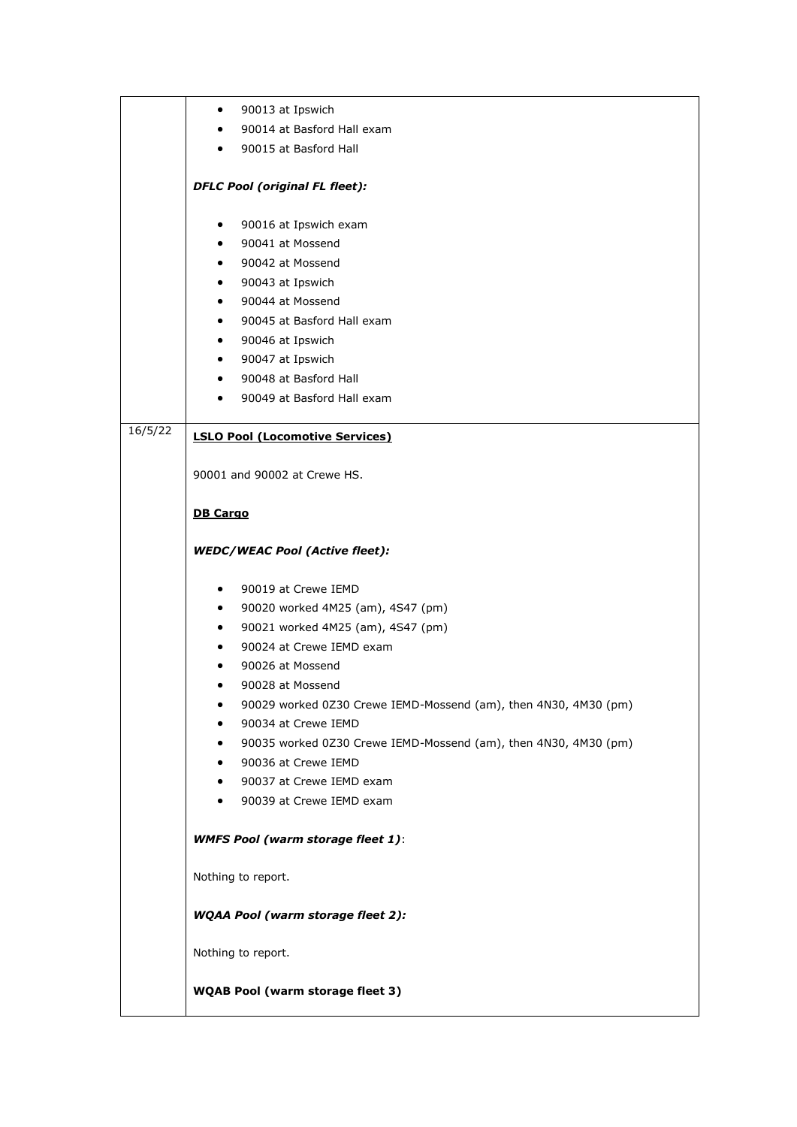|         | 90013 at Ipswich<br>$\bullet$                                   |
|---------|-----------------------------------------------------------------|
|         | 90014 at Basford Hall exam                                      |
|         | 90015 at Basford Hall<br>$\bullet$                              |
|         |                                                                 |
|         | <b>DFLC Pool (original FL fleet):</b>                           |
|         | 90016 at Ipswich exam<br>٠                                      |
|         | 90041 at Mossend<br>$\bullet$                                   |
|         | 90042 at Mossend<br>$\bullet$                                   |
|         | 90043 at Ipswich<br>٠                                           |
|         | 90044 at Mossend<br>$\bullet$                                   |
|         | 90045 at Basford Hall exam<br>$\bullet$                         |
|         | 90046 at Ipswich<br>$\bullet$                                   |
|         | 90047 at Ipswich<br>$\bullet$                                   |
|         | 90048 at Basford Hall<br>$\bullet$                              |
|         | 90049 at Basford Hall exam                                      |
| 16/5/22 | <b>LSLO Pool (Locomotive Services)</b>                          |
|         | 90001 and 90002 at Crewe HS.                                    |
|         | <b>DB Cargo</b>                                                 |
|         | <b>WEDC/WEAC Pool (Active fleet):</b>                           |
|         | 90019 at Crewe IEMD<br>$\bullet$                                |
|         | 90020 worked 4M25 (am), 4S47 (pm)<br>$\bullet$                  |
|         | 90021 worked 4M25 (am), 4S47 (pm)<br>$\bullet$                  |
|         | 90024 at Crewe IEMD exam                                        |
|         | 90026 at Mossend                                                |
|         | 90028 at Mossend                                                |
|         | 90029 worked 0Z30 Crewe IEMD-Mossend (am), then 4N30, 4M30 (pm) |
|         | 90034 at Crewe IEMD                                             |
|         | 90035 worked 0Z30 Crewe IEMD-Mossend (am), then 4N30, 4M30 (pm) |
|         | 90036 at Crewe IEMD                                             |
|         | 90037 at Crewe IEMD exam                                        |
|         | 90039 at Crewe IEMD exam                                        |
|         | <b>WMFS Pool (warm storage fleet 1):</b>                        |
|         | Nothing to report.                                              |
|         | <b>WQAA Pool (warm storage fleet 2):</b>                        |
|         | Nothing to report.                                              |
|         | <b>WQAB Pool (warm storage fleet 3)</b>                         |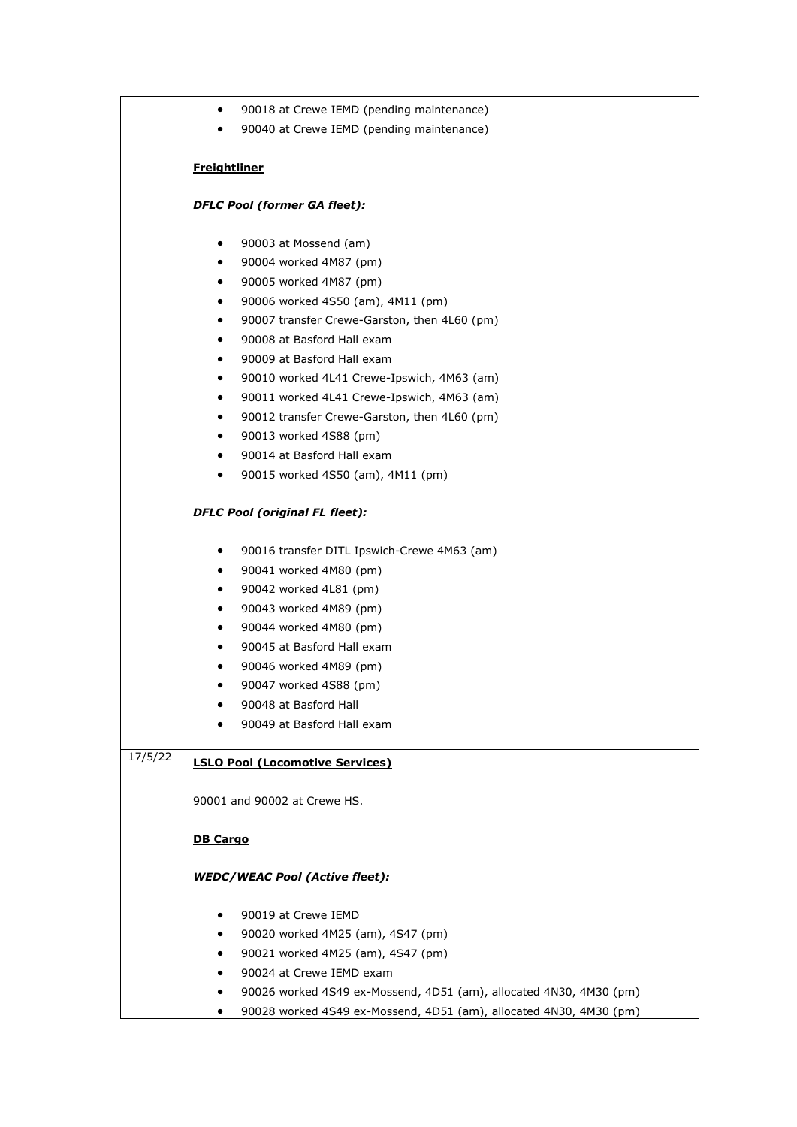|         | 90018 at Crewe IEMD (pending maintenance)<br>$\bullet$                  |  |  |  |  |
|---------|-------------------------------------------------------------------------|--|--|--|--|
|         | 90040 at Crewe IEMD (pending maintenance)<br>$\bullet$                  |  |  |  |  |
|         |                                                                         |  |  |  |  |
|         | <b>Freightliner</b>                                                     |  |  |  |  |
|         | <b>DFLC Pool (former GA fleet):</b>                                     |  |  |  |  |
|         | 90003 at Mossend (am)<br>٠                                              |  |  |  |  |
|         | 90004 worked 4M87 (pm)<br>$\bullet$                                     |  |  |  |  |
|         | 90005 worked 4M87 (pm)<br>٠                                             |  |  |  |  |
|         | 90006 worked 4S50 (am), 4M11 (pm)<br>$\bullet$                          |  |  |  |  |
|         | 90007 transfer Crewe-Garston, then 4L60 (pm)<br>$\bullet$               |  |  |  |  |
|         | 90008 at Basford Hall exam<br>$\bullet$                                 |  |  |  |  |
|         | 90009 at Basford Hall exam<br>٠                                         |  |  |  |  |
|         | 90010 worked 4L41 Crewe-Ipswich, 4M63 (am)<br>٠                         |  |  |  |  |
|         | 90011 worked 4L41 Crewe-Ipswich, 4M63 (am)<br>٠                         |  |  |  |  |
|         | 90012 transfer Crewe-Garston, then 4L60 (pm)<br>$\bullet$               |  |  |  |  |
|         | 90013 worked 4S88 (pm)<br>$\bullet$                                     |  |  |  |  |
|         | 90014 at Basford Hall exam<br>$\bullet$                                 |  |  |  |  |
|         | 90015 worked 4S50 (am), 4M11 (pm)<br>٠                                  |  |  |  |  |
|         | <b>DFLC Pool (original FL fleet):</b>                                   |  |  |  |  |
|         | 90016 transfer DITL Ipswich-Crewe 4M63 (am)<br>$\bullet$                |  |  |  |  |
|         | 90041 worked 4M80 (pm)<br>٠                                             |  |  |  |  |
|         | 90042 worked 4L81 (pm)<br>$\bullet$                                     |  |  |  |  |
|         | 90043 worked 4M89 (pm)<br>$\bullet$                                     |  |  |  |  |
|         | 90044 worked 4M80 (pm)<br>$\bullet$                                     |  |  |  |  |
|         | 90045 at Basford Hall exam<br>$\bullet$                                 |  |  |  |  |
|         | 90046 worked 4M89 (pm)                                                  |  |  |  |  |
|         | 90047 worked 4S88 (pm)<br>٠                                             |  |  |  |  |
|         | 90048 at Basford Hall                                                   |  |  |  |  |
|         | 90049 at Basford Hall exam                                              |  |  |  |  |
| 17/5/22 | <b>LSLO Pool (Locomotive Services)</b>                                  |  |  |  |  |
|         | 90001 and 90002 at Crewe HS.                                            |  |  |  |  |
|         | <b>DB Cargo</b><br><b>WEDC/WEAC Pool (Active fleet):</b>                |  |  |  |  |
|         |                                                                         |  |  |  |  |
|         |                                                                         |  |  |  |  |
|         | 90019 at Crewe IEMD                                                     |  |  |  |  |
|         | 90020 worked 4M25 (am), 4S47 (pm)<br>٠                                  |  |  |  |  |
|         | 90021 worked 4M25 (am), 4S47 (pm)<br>$\bullet$                          |  |  |  |  |
|         | 90024 at Crewe IEMD exam<br>٠                                           |  |  |  |  |
|         | 90026 worked 4S49 ex-Mossend, 4D51 (am), allocated 4N30, 4M30 (pm)<br>٠ |  |  |  |  |
|         | 90028 worked 4S49 ex-Mossend, 4D51 (am), allocated 4N30, 4M30 (pm)      |  |  |  |  |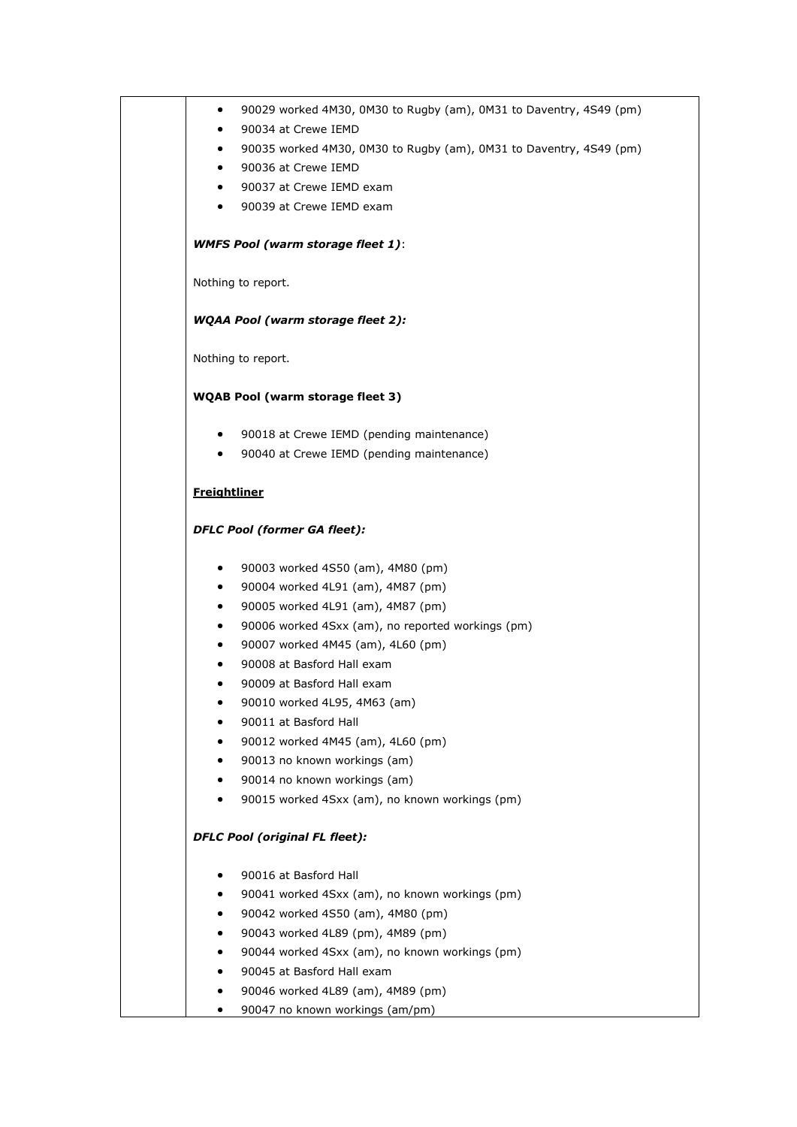| ٠                   | 90029 worked 4M30, 0M30 to Rugby (am), 0M31 to Daventry, 4S49 (pm)             |
|---------------------|--------------------------------------------------------------------------------|
|                     | 90034 at Crewe IEMD                                                            |
| ٠                   | 90035 worked 4M30, 0M30 to Rugby (am), 0M31 to Daventry, 4S49 (pm)             |
| ٠                   | 90036 at Crewe IEMD                                                            |
| ٠                   | 90037 at Crewe IEMD exam                                                       |
| $\bullet$           | 90039 at Crewe IEMD exam                                                       |
|                     | <b>WMFS Pool (warm storage fleet 1):</b>                                       |
|                     | Nothing to report.                                                             |
|                     | <b>WQAA Pool (warm storage fleet 2):</b>                                       |
|                     | Nothing to report.                                                             |
|                     | <b>WQAB Pool (warm storage fleet 3)</b>                                        |
| $\bullet$           | 90018 at Crewe IEMD (pending maintenance)                                      |
| $\bullet$           | 90040 at Crewe IEMD (pending maintenance)                                      |
| <b>Freightliner</b> |                                                                                |
|                     | <b>DFLC Pool (former GA fleet):</b>                                            |
| ٠                   | 90003 worked 4S50 (am), 4M80 (pm)                                              |
| ٠                   | 90004 worked 4L91 (am), 4M87 (pm)                                              |
| ٠                   | 90005 worked 4L91 (am), 4M87 (pm)                                              |
| ٠                   | 90006 worked 4Sxx (am), no reported workings (pm)                              |
| ٠                   | 90007 worked 4M45 (am), 4L60 (pm)                                              |
|                     | 90008 at Basford Hall exam                                                     |
| ٠                   | 90009 at Basford Hall exam                                                     |
|                     | 90010 worked 4L95, 4M63 (am)                                                   |
|                     | 90011 at Basford Hall                                                          |
|                     | 90012 worked 4M45 (am), 4L60 (pm)                                              |
|                     | 90013 no known workings (am)                                                   |
| ٠<br>$\bullet$      | 90014 no known workings (am)<br>90015 worked 4Sxx (am), no known workings (pm) |
|                     | <b>DFLC Pool (original FL fleet):</b>                                          |
|                     |                                                                                |
|                     | 90016 at Basford Hall                                                          |
| ٠                   | 90041 worked 4Sxx (am), no known workings (pm)                                 |
| ٠                   | 90042 worked 4S50 (am), 4M80 (pm)                                              |
|                     | 90043 worked 4L89 (pm), 4M89 (pm)                                              |
|                     | 90044 worked 4Sxx (am), no known workings (pm)                                 |
|                     | 90045 at Basford Hall exam                                                     |
| ٠                   | 90046 worked 4L89 (am), 4M89 (pm)                                              |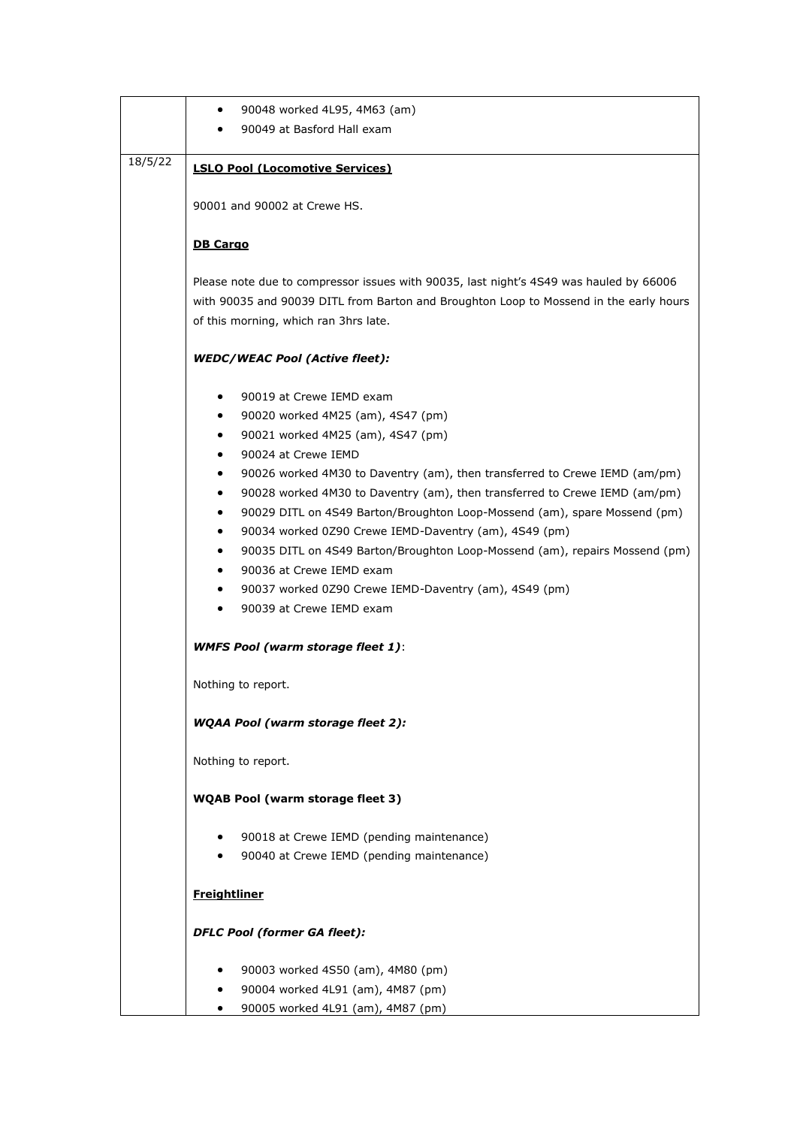|         | 90048 worked 4L95, 4M63 (am)<br>٠                                                      |  |  |  |
|---------|----------------------------------------------------------------------------------------|--|--|--|
|         | 90049 at Basford Hall exam                                                             |  |  |  |
|         |                                                                                        |  |  |  |
| 18/5/22 | <b>LSLO Pool (Locomotive Services)</b>                                                 |  |  |  |
|         |                                                                                        |  |  |  |
|         | 90001 and 90002 at Crewe HS.                                                           |  |  |  |
|         |                                                                                        |  |  |  |
|         | <b>DB Cargo</b>                                                                        |  |  |  |
|         |                                                                                        |  |  |  |
|         | Please note due to compressor issues with 90035, last night's 4S49 was hauled by 66006 |  |  |  |
|         |                                                                                        |  |  |  |
|         | with 90035 and 90039 DITL from Barton and Broughton Loop to Mossend in the early hours |  |  |  |
|         | of this morning, which ran 3hrs late.                                                  |  |  |  |
|         |                                                                                        |  |  |  |
|         | <b>WEDC/WEAC Pool (Active fleet):</b>                                                  |  |  |  |
|         |                                                                                        |  |  |  |
|         | 90019 at Crewe IEMD exam<br>٠                                                          |  |  |  |
|         | 90020 worked 4M25 (am), 4S47 (pm)<br>٠                                                 |  |  |  |
|         | 90021 worked 4M25 (am), 4S47 (pm)<br>٠                                                 |  |  |  |
|         | 90024 at Crewe IEMD<br>٠                                                               |  |  |  |
|         | 90026 worked 4M30 to Daventry (am), then transferred to Crewe IEMD (am/pm)<br>٠        |  |  |  |
|         | 90028 worked 4M30 to Daventry (am), then transferred to Crewe IEMD (am/pm)<br>٠        |  |  |  |
|         | 90029 DITL on 4S49 Barton/Broughton Loop-Mossend (am), spare Mossend (pm)<br>٠         |  |  |  |
|         | 90034 worked 0Z90 Crewe IEMD-Daventry (am), 4S49 (pm)<br>٠                             |  |  |  |
|         | 90035 DITL on 4S49 Barton/Broughton Loop-Mossend (am), repairs Mossend (pm)<br>٠       |  |  |  |
|         | 90036 at Crewe IEMD exam<br>٠                                                          |  |  |  |
|         | 90037 worked 0Z90 Crewe IEMD-Daventry (am), 4S49 (pm)<br>٠                             |  |  |  |
|         | 90039 at Crewe IEMD exam<br>٠                                                          |  |  |  |
|         |                                                                                        |  |  |  |
|         | <b>WMFS Pool (warm storage fleet 1):</b>                                               |  |  |  |
|         |                                                                                        |  |  |  |
|         | Nothing to report.                                                                     |  |  |  |
|         |                                                                                        |  |  |  |
|         | <b>WQAA Pool (warm storage fleet 2):</b>                                               |  |  |  |
|         |                                                                                        |  |  |  |
|         |                                                                                        |  |  |  |
|         | Nothing to report.                                                                     |  |  |  |
|         |                                                                                        |  |  |  |
|         | <b>WQAB Pool (warm storage fleet 3)</b>                                                |  |  |  |
|         |                                                                                        |  |  |  |
|         | 90018 at Crewe IEMD (pending maintenance)<br>٠                                         |  |  |  |
|         | 90040 at Crewe IEMD (pending maintenance)                                              |  |  |  |
|         |                                                                                        |  |  |  |
|         | <b>Freightliner</b>                                                                    |  |  |  |
|         |                                                                                        |  |  |  |
|         | <b>DFLC Pool (former GA fleet):</b>                                                    |  |  |  |
|         |                                                                                        |  |  |  |
|         | 90003 worked 4S50 (am), 4M80 (pm)<br>٠                                                 |  |  |  |
|         | 90004 worked 4L91 (am), 4M87 (pm)<br>٠                                                 |  |  |  |
|         | 90005 worked 4L91 (am), 4M87 (pm)<br>$\bullet$                                         |  |  |  |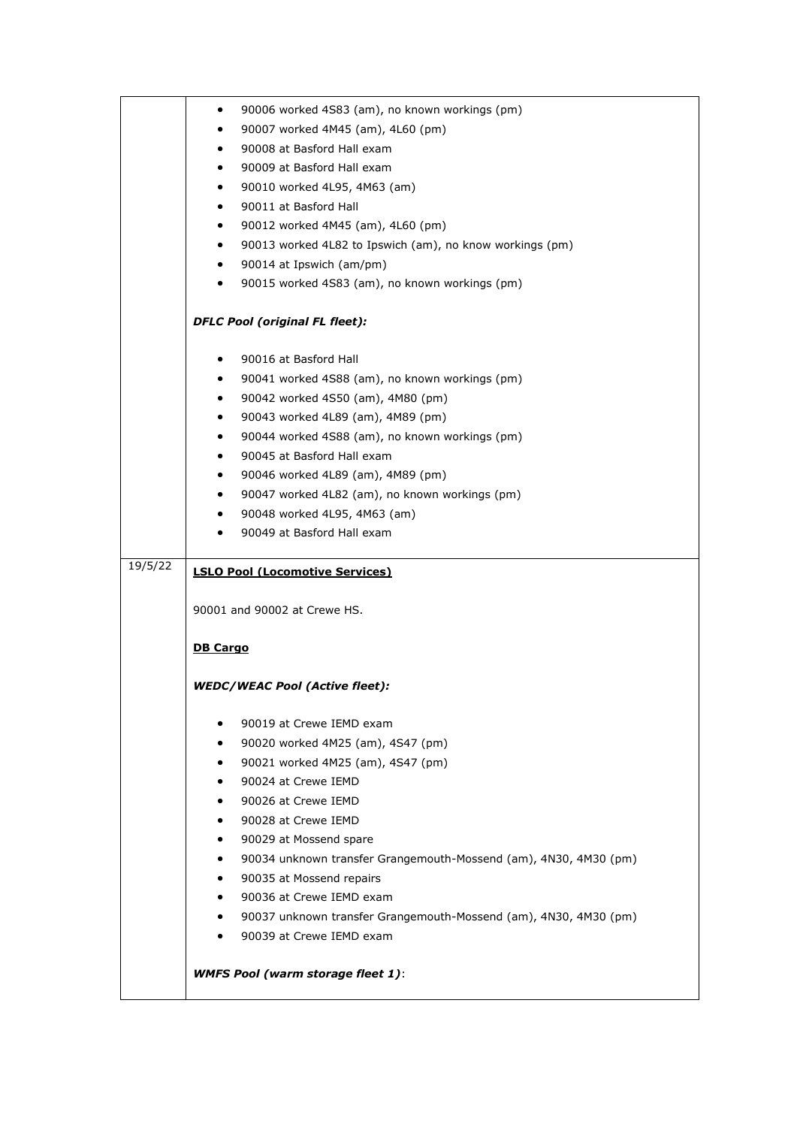|         | 90006 worked 4S83 (am), no known workings (pm)<br>٠                                          |
|---------|----------------------------------------------------------------------------------------------|
|         | 90007 worked 4M45 (am), 4L60 (pm)<br>$\bullet$                                               |
|         | 90008 at Basford Hall exam<br>٠                                                              |
|         | 90009 at Basford Hall exam<br>$\bullet$                                                      |
|         | 90010 worked 4L95, 4M63 (am)<br>$\bullet$                                                    |
|         | 90011 at Basford Hall<br>$\bullet$                                                           |
|         | 90012 worked 4M45 (am), 4L60 (pm)<br>$\bullet$                                               |
|         | 90013 worked 4L82 to Ipswich (am), no know workings (pm)<br>$\bullet$                        |
|         | 90014 at Ipswich (am/pm)<br>$\bullet$                                                        |
|         | 90015 worked 4S83 (am), no known workings (pm)<br>$\bullet$                                  |
|         |                                                                                              |
|         | <b>DFLC Pool (original FL fleet):</b>                                                        |
|         | 90016 at Basford Hall<br>$\bullet$                                                           |
|         | 90041 worked 4S88 (am), no known workings (pm)<br>$\bullet$                                  |
|         | 90042 worked 4S50 (am), 4M80 (pm)<br>$\bullet$                                               |
|         | 90043 worked 4L89 (am), 4M89 (pm)<br>$\bullet$                                               |
|         | 90044 worked 4S88 (am), no known workings (pm)<br>$\bullet$                                  |
|         | 90045 at Basford Hall exam<br>$\bullet$                                                      |
|         | 90046 worked 4L89 (am), 4M89 (pm)<br>$\bullet$                                               |
|         | 90047 worked 4L82 (am), no known workings (pm)<br>٠                                          |
|         | 90048 worked 4L95, 4M63 (am)<br>$\bullet$                                                    |
|         | 90049 at Basford Hall exam                                                                   |
| 19/5/22 |                                                                                              |
|         | <b>LSLO Pool (Locomotive Services)</b>                                                       |
|         | 90001 and 90002 at Crewe HS.                                                                 |
|         |                                                                                              |
|         | <b>DB Cargo</b>                                                                              |
|         |                                                                                              |
|         | <b>WEDC/WEAC Pool (Active fleet):</b>                                                        |
|         | 90019 at Crewe IEMD exam<br>٠                                                                |
|         | 90020 worked 4M25 (am), 4S47 (pm)                                                            |
|         | 90021 worked 4M25 (am), 4S47 (pm)<br>٠                                                       |
|         | 90024 at Crewe IEMD                                                                          |
|         | 90026 at Crewe IEMD<br>$\bullet$                                                             |
|         | 90028 at Crewe IEMD<br>٠                                                                     |
|         | 90029 at Mossend spare<br>٠                                                                  |
|         | 90034 unknown transfer Grangemouth-Mossend (am), 4N30, 4M30 (pm)<br>٠                        |
|         |                                                                                              |
|         | ٠                                                                                            |
|         | 90035 at Mossend repairs<br>90036 at Crewe IEMD exam<br>$\bullet$                            |
|         | $\bullet$                                                                                    |
|         | 90037 unknown transfer Grangemouth-Mossend (am), 4N30, 4M30 (pm)<br>90039 at Crewe IEMD exam |
|         |                                                                                              |
|         | <b>WMFS Pool (warm storage fleet 1):</b>                                                     |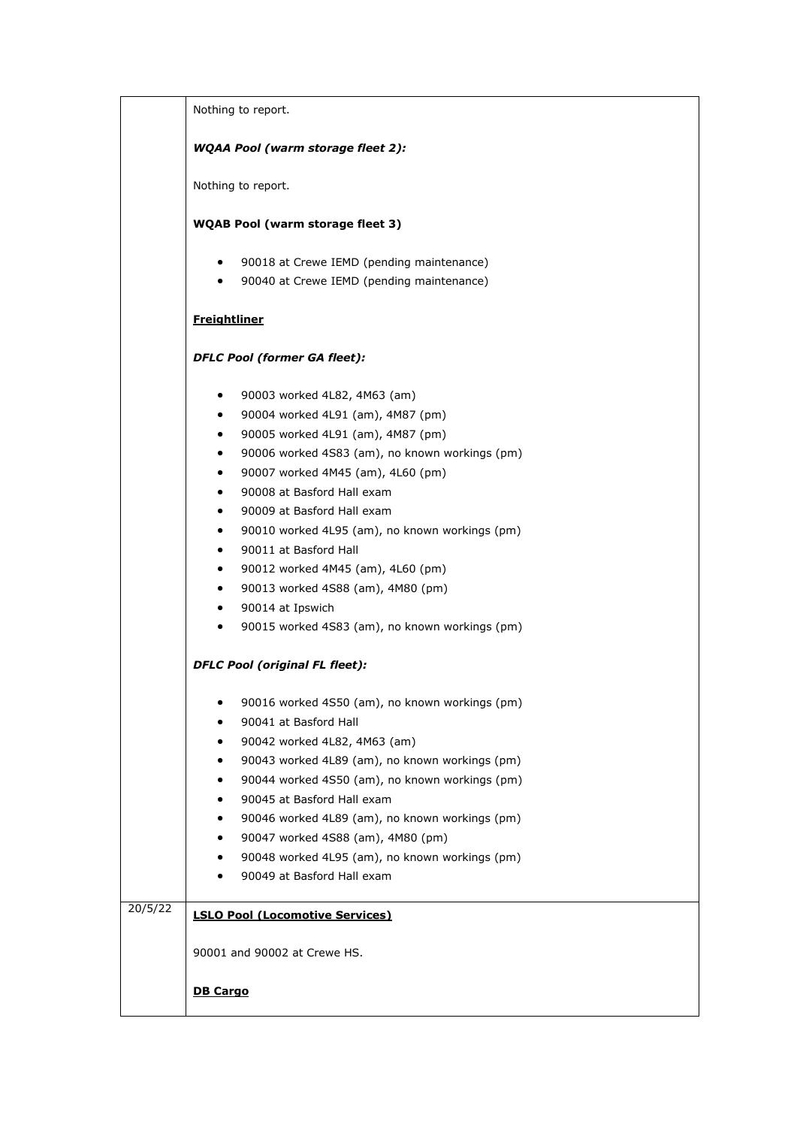|         | Nothing to report.                                                                  |  |  |
|---------|-------------------------------------------------------------------------------------|--|--|
|         | <b>WQAA Pool (warm storage fleet 2):</b>                                            |  |  |
|         | Nothing to report.                                                                  |  |  |
|         |                                                                                     |  |  |
|         | <b>WQAB Pool (warm storage fleet 3)</b>                                             |  |  |
|         | 90018 at Crewe IEMD (pending maintenance)<br>$\bullet$                              |  |  |
|         | 90040 at Crewe IEMD (pending maintenance)<br>$\bullet$                              |  |  |
|         | <b>Freightliner</b>                                                                 |  |  |
|         | <b>DFLC Pool (former GA fleet):</b>                                                 |  |  |
|         | 90003 worked 4L82, 4M63 (am)<br>$\bullet$                                           |  |  |
|         | 90004 worked 4L91 (am), 4M87 (pm)<br>$\bullet$                                      |  |  |
|         | 90005 worked 4L91 (am), 4M87 (pm)<br>$\bullet$                                      |  |  |
|         | 90006 worked 4S83 (am), no known workings (pm)<br>$\bullet$                         |  |  |
|         | 90007 worked 4M45 (am), 4L60 (pm)<br>$\bullet$                                      |  |  |
|         | 90008 at Basford Hall exam<br>$\bullet$                                             |  |  |
|         | 90009 at Basford Hall exam<br>$\bullet$                                             |  |  |
|         | 90010 worked 4L95 (am), no known workings (pm)<br>$\bullet$                         |  |  |
|         | 90011 at Basford Hall<br>$\bullet$                                                  |  |  |
|         | 90012 worked 4M45 (am), 4L60 (pm)<br>$\bullet$                                      |  |  |
|         | 90013 worked 4S88 (am), 4M80 (pm)<br>$\bullet$                                      |  |  |
|         | 90014 at Ipswich<br>$\bullet$                                                       |  |  |
|         | 90015 worked 4S83 (am), no known workings (pm)<br>$\bullet$                         |  |  |
|         | <b>DFLC Pool (original FL fleet):</b>                                               |  |  |
|         | 90016 worked 4S50 (am), no known workings (pm)                                      |  |  |
|         | 90041 at Basford Hall                                                               |  |  |
|         | 90042 worked 4L82, 4M63 (am)                                                        |  |  |
|         | 90043 worked 4L89 (am), no known workings (pm)                                      |  |  |
|         | 90044 worked 4S50 (am), no known workings (pm)                                      |  |  |
|         | 90045 at Basford Hall exam                                                          |  |  |
|         | 90046 worked 4L89 (am), no known workings (pm)                                      |  |  |
|         | 90047 worked 4S88 (am), 4M80 (pm)<br>90048 worked 4L95 (am), no known workings (pm) |  |  |
|         | 90049 at Basford Hall exam                                                          |  |  |
|         |                                                                                     |  |  |
| 20/5/22 | <b>LSLO Pool (Locomotive Services)</b>                                              |  |  |
|         | 90001 and 90002 at Crewe HS.                                                        |  |  |
|         | <b>DB Cargo</b>                                                                     |  |  |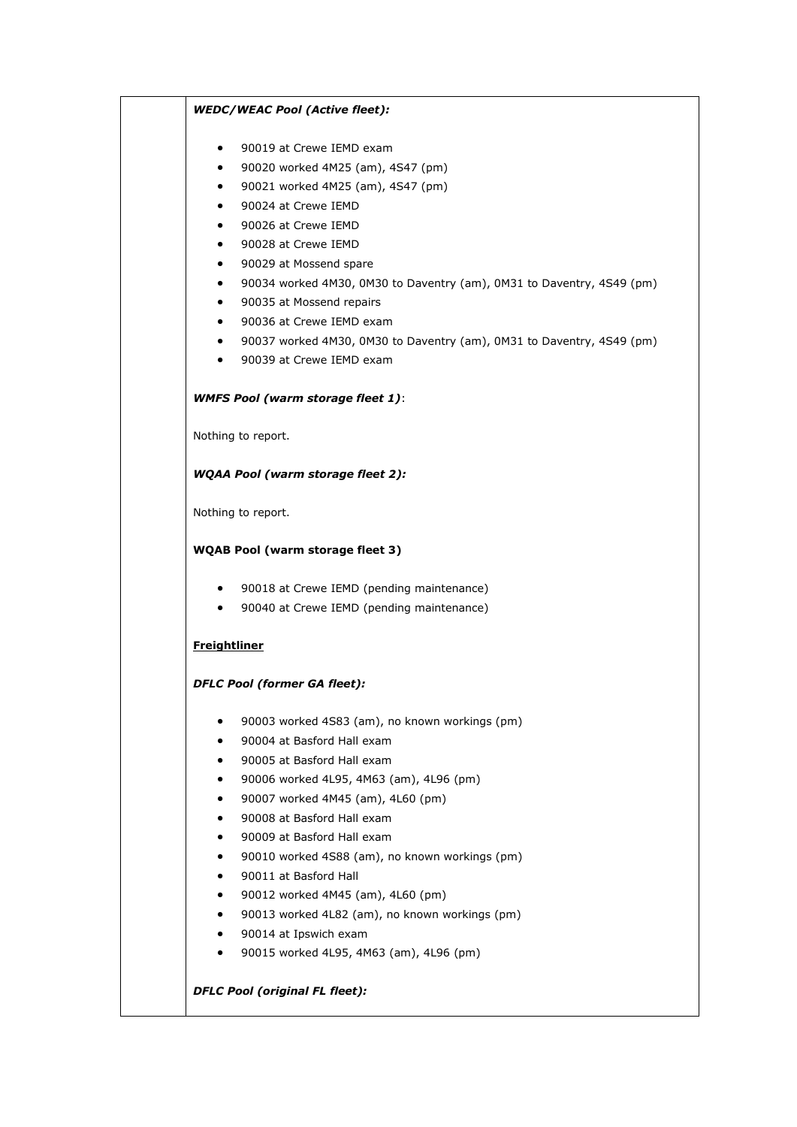## *WEDC/WEAC Pool (Active fleet):*

- 90019 at Crewe IEMD exam
- 90020 worked 4M25 (am), 4S47 (pm)
- 90021 worked 4M25 (am), 4S47 (pm)
- 90024 at Crewe IEMD
- 90026 at Crewe IEMD
- 90028 at Crewe IEMD
- 90029 at Mossend spare
- 90034 worked 4M30, 0M30 to Daventry (am), 0M31 to Daventry, 4S49 (pm)
- 90035 at Mossend repairs
- 90036 at Crewe IEMD exam
- 90037 worked 4M30, 0M30 to Daventry (am), 0M31 to Daventry, 4S49 (pm)
- 90039 at Crewe IEMD exam

## *WMFS Pool (warm storage fleet 1)*:

Nothing to report.

## *WQAA Pool (warm storage fleet 2):*

Nothing to report.

## **WQAB Pool (warm storage fleet 3)**

- 90018 at Crewe IEMD (pending maintenance)
- 90040 at Crewe IEMD (pending maintenance)

# **Freightliner**

#### *DFLC Pool (former GA fleet):*

- 90003 worked 4S83 (am), no known workings (pm)
- 90004 at Basford Hall exam
- 90005 at Basford Hall exam
- 90006 worked 4L95, 4M63 (am), 4L96 (pm)
- 90007 worked 4M45 (am), 4L60 (pm)
- 90008 at Basford Hall exam
- 90009 at Basford Hall exam
- 90010 worked 4S88 (am), no known workings (pm)
- 90011 at Basford Hall
- 90012 worked 4M45 (am), 4L60 (pm)
- 90013 worked 4L82 (am), no known workings (pm)
- 90014 at Ipswich exam
- 90015 worked 4L95, 4M63 (am), 4L96 (pm)

# *DFLC Pool (original FL fleet):*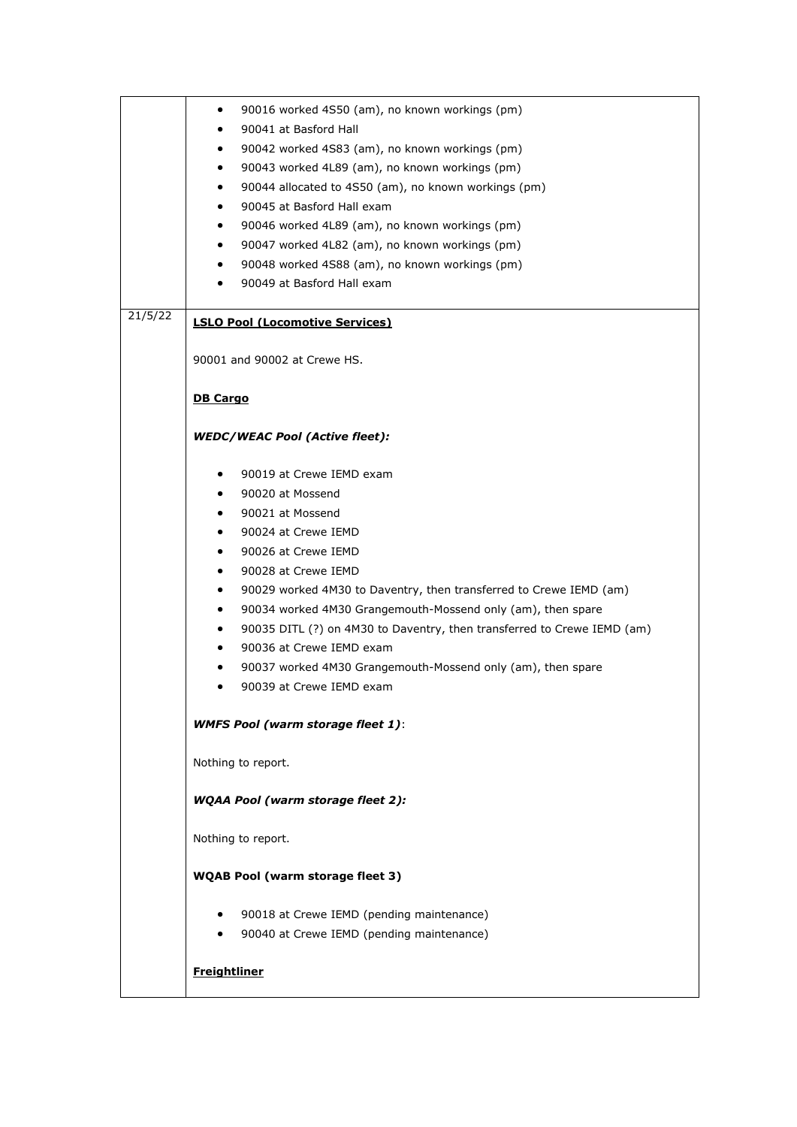|         | 90016 worked 4S50 (am), no known workings (pm)<br>٠                                  |
|---------|--------------------------------------------------------------------------------------|
|         | 90041 at Basford Hall<br>٠                                                           |
|         | 90042 worked 4S83 (am), no known workings (pm)<br>$\bullet$                          |
|         | 90043 worked 4L89 (am), no known workings (pm)<br>$\bullet$                          |
|         | 90044 allocated to 4S50 (am), no known workings (pm)<br>$\bullet$                    |
|         | 90045 at Basford Hall exam<br>$\bullet$                                              |
|         | 90046 worked 4L89 (am), no known workings (pm)<br>$\bullet$                          |
|         | 90047 worked 4L82 (am), no known workings (pm)<br>$\bullet$                          |
|         |                                                                                      |
|         | 90048 worked 4S88 (am), no known workings (pm)<br>$\bullet$                          |
|         | 90049 at Basford Hall exam                                                           |
| 21/5/22 | <b>LSLO Pool (Locomotive Services)</b>                                               |
|         | 90001 and 90002 at Crewe HS.                                                         |
|         | <b>DB Cargo</b>                                                                      |
|         |                                                                                      |
|         | <b>WEDC/WEAC Pool (Active fleet):</b>                                                |
|         | 90019 at Crewe IEMD exam                                                             |
|         | 90020 at Mossend                                                                     |
|         | 90021 at Mossend<br>$\bullet$                                                        |
|         | 90024 at Crewe IEMD<br>$\bullet$                                                     |
|         | 90026 at Crewe IEMD                                                                  |
|         | $\bullet$                                                                            |
|         | 90028 at Crewe IEMD<br>$\bullet$                                                     |
|         | 90029 worked 4M30 to Daventry, then transferred to Crewe IEMD (am)<br>$\bullet$      |
|         | 90034 worked 4M30 Grangemouth-Mossend only (am), then spare<br>$\bullet$             |
|         | 90035 DITL (?) on 4M30 to Daventry, then transferred to Crewe IEMD (am)<br>$\bullet$ |
|         | 90036 at Crewe IEMD exam                                                             |
|         | 90037 worked 4M30 Grangemouth-Mossend only (am), then spare<br>٠                     |
|         | 90039 at Crewe IEMD exam                                                             |
|         | <b>WMFS Pool (warm storage fleet 1):</b>                                             |
|         | Nothing to report.                                                                   |
|         | <b>WQAA Pool (warm storage fleet 2):</b>                                             |
|         | Nothing to report.                                                                   |
|         | <b>WQAB Pool (warm storage fleet 3)</b>                                              |
|         | 90018 at Crewe IEMD (pending maintenance)                                            |
|         |                                                                                      |
|         | 90040 at Crewe IEMD (pending maintenance)                                            |
|         | <b>Freightliner</b>                                                                  |
|         |                                                                                      |